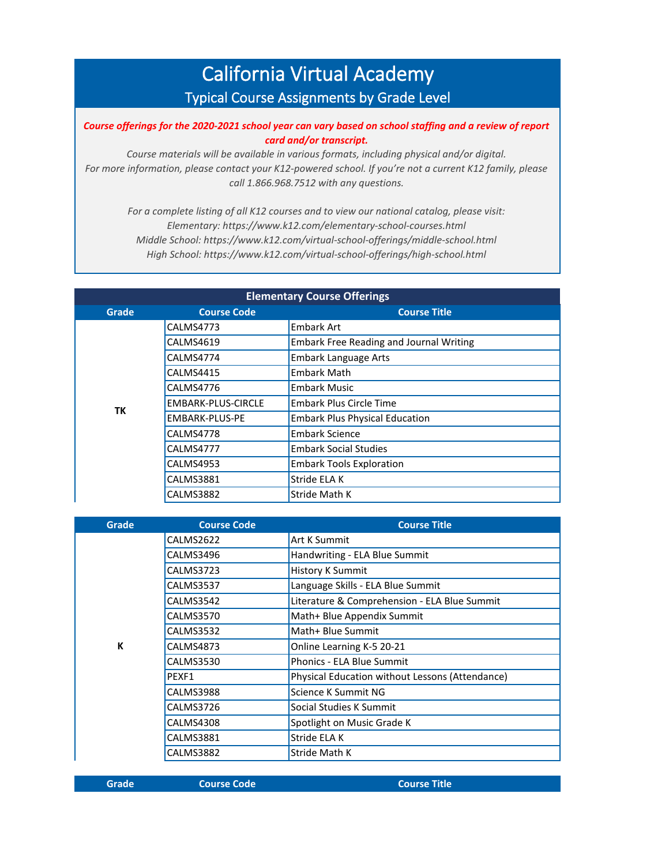## California Virtual Academy Typical Course Assignments by Grade Level

*Course offerings for the 2020-2021 school year can vary based on school staffing and a review of report card and/or transcript.* 

*Course materials will be available in various formats, including physical and/or digital. For more information, please contact your K12-powered school. If you're not a current K12 family, please call 1.866.968.7512 with any questions.*

*For a complete listing of all K12 courses and to view our national catalog, please visit: Elementary: https://www.k12.com/elementary-school-courses.html Middle School: https://www.k12.com/virtual-school-offerings/middle-school.html High School: https://www.k12.com/virtual-school-offerings/high-school.html*

| <b>Elementary Course Offerings</b> |                           |                                                |  |
|------------------------------------|---------------------------|------------------------------------------------|--|
| Grade                              | <b>Course Code</b>        | <b>Course Title</b>                            |  |
|                                    | CALMS4773                 | <b>Embark Art</b>                              |  |
|                                    | CALMS4619                 | <b>Embark Free Reading and Journal Writing</b> |  |
|                                    | CALMS4774                 | <b>Embark Language Arts</b>                    |  |
|                                    | CALMS4415                 | <b>Embark Math</b>                             |  |
|                                    | CALMS4776                 | <b>Embark Music</b>                            |  |
| ТK                                 | <b>EMBARK-PLUS-CIRCLE</b> | Embark Plus Circle Time                        |  |
|                                    | EMBARK-PLUS-PE            | <b>Embark Plus Physical Education</b>          |  |
|                                    | CALMS4778                 | <b>Embark Science</b>                          |  |
|                                    | CALMS4777                 | <b>Embark Social Studies</b>                   |  |
|                                    | CALMS4953                 | <b>Embark Tools Exploration</b>                |  |
|                                    | <b>CALMS3881</b>          | Stride ELA K                                   |  |
|                                    | CALMS3882                 | Stride Math K                                  |  |

| Grade | <b>Course Code</b> | <b>Course Title</b>                             |
|-------|--------------------|-------------------------------------------------|
|       | CALMS2622          | Art K Summit                                    |
|       | CALMS3496          | Handwriting - ELA Blue Summit                   |
|       | CALMS3723          | <b>History K Summit</b>                         |
|       | CALMS3537          | Language Skills - ELA Blue Summit               |
|       | CALMS3542          | Literature & Comprehension - ELA Blue Summit    |
|       | CALMS3570          | Math+ Blue Appendix Summit                      |
|       | CALMS3532          | Math+ Blue Summit                               |
| K     | CALMS4873          | Online Learning K-5 20-21                       |
|       | CALMS3530          | <b>Phonics - ELA Blue Summit</b>                |
|       | PEXF1              | Physical Education without Lessons (Attendance) |
|       | CALMS3988          | Science K Summit NG                             |
|       | CALMS3726          | Social Studies K Summit                         |
|       | CALMS4308          | Spotlight on Music Grade K                      |
|       | CALMS3881          | Stride ELA K                                    |
|       | CALMS3882          | Stride Math K                                   |

**Grade Course Code Course Title**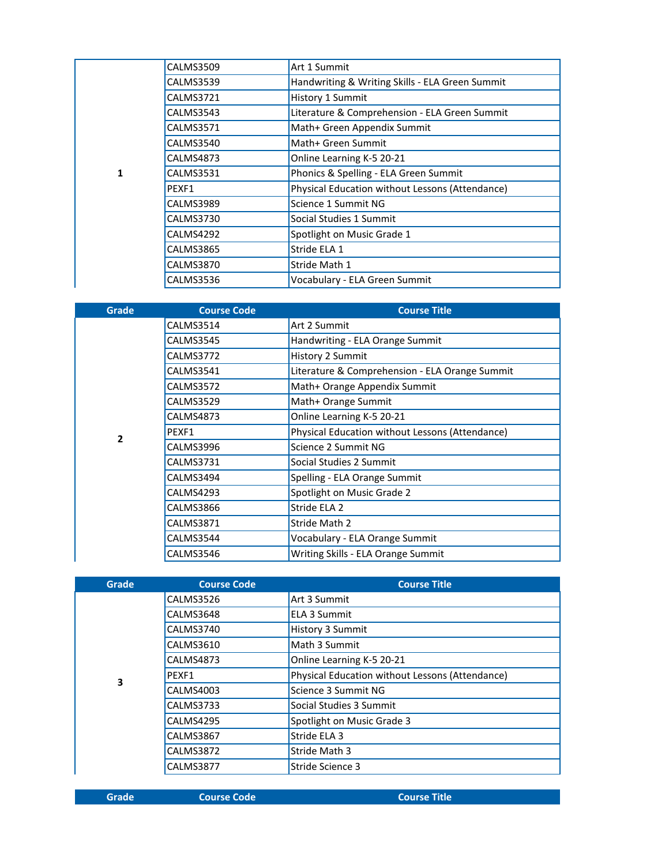|   | CALMS3509        | Art 1 Summit                                    |
|---|------------------|-------------------------------------------------|
|   | CALMS3539        | Handwriting & Writing Skills - ELA Green Summit |
|   | CALMS3721        | History 1 Summit                                |
|   | CALMS3543        | Literature & Comprehension - ELA Green Summit   |
|   | <b>CALMS3571</b> | Math+ Green Appendix Summit                     |
|   | CALMS3540        | Math+ Green Summit                              |
|   | CALMS4873        | Online Learning K-5 20-21                       |
| 1 | CALMS3531        | Phonics & Spelling - ELA Green Summit           |
|   | PEXF1            | Physical Education without Lessons (Attendance) |
|   | CALMS3989        | Science 1 Summit NG                             |
|   | CALMS3730        | Social Studies 1 Summit                         |
|   | CALMS4292        | Spotlight on Music Grade 1                      |
|   | CALMS3865        | Stride ELA 1                                    |
|   | CALMS3870        | Stride Math 1                                   |
|   | CALMS3536        | Vocabulary - ELA Green Summit                   |

| <b>Grade</b> | <b>Course Code</b> | <b>Course Title</b>                             |
|--------------|--------------------|-------------------------------------------------|
|              | CALMS3514          | Art 2 Summit                                    |
|              | CALMS3545          | Handwriting - ELA Orange Summit                 |
|              | CALMS3772          | History 2 Summit                                |
|              | CALMS3541          | Literature & Comprehension - ELA Orange Summit  |
|              | CALMS3572          | Math+ Orange Appendix Summit                    |
|              | CALMS3529          | Math+ Orange Summit                             |
|              | CALMS4873          | Online Learning K-5 20-21                       |
| 2            | PEXF1              | Physical Education without Lessons (Attendance) |
|              | CALMS3996          | Science 2 Summit NG                             |
|              | CALMS3731          | Social Studies 2 Summit                         |
|              | CALMS3494          | Spelling - ELA Orange Summit                    |
|              | CALMS4293          | Spotlight on Music Grade 2                      |
|              | CALMS3866          | Stride ELA 2                                    |
|              | CALMS3871          | Stride Math 2                                   |
|              | CALMS3544          | Vocabulary - ELA Orange Summit                  |
|              | CALMS3546          | Writing Skills - ELA Orange Summit              |

| Grade | <b>Course Code</b> | <b>Course Title</b>                             |
|-------|--------------------|-------------------------------------------------|
|       | <b>CALMS3526</b>   | Art 3 Summit                                    |
|       | CALMS3648          | <b>ELA 3 Summit</b>                             |
|       | CALMS3740          | <b>History 3 Summit</b>                         |
|       | <b>CALMS3610</b>   | Math 3 Summit                                   |
|       | CALMS4873          | Online Learning K-5 20-21                       |
| 3     | PEXF1              | Physical Education without Lessons (Attendance) |
|       | CALMS4003          | Science 3 Summit NG                             |
|       | CALMS3733          | Social Studies 3 Summit                         |
|       | CALMS4295          | Spotlight on Music Grade 3                      |
|       | <b>CALMS3867</b>   | Stride ELA 3                                    |
|       | CALMS3872          | Stride Math 3                                   |
|       | CALMS3877          | Stride Science 3                                |
|       |                    |                                                 |

| Grade |  |  |
|-------|--|--|
|       |  |  |
|       |  |  |